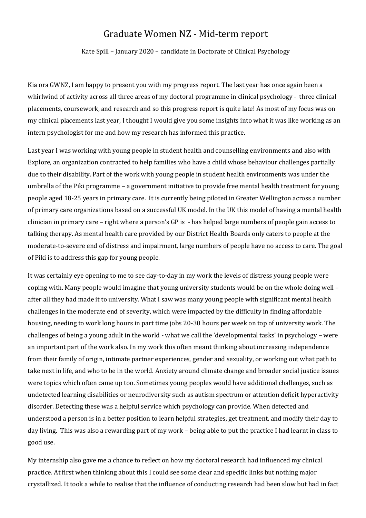## Graduate Women NZ - Mid-term report

Kate Spill – January 2020 – candidate in Doctorate of Clinical Psychology

Kia ora GWNZ, I am happy to present you with my progress report. The last year has once again been a whirlwind of activity across all three areas of my doctoral programme in clinical psychology - three clinical placements, coursework, and research and so this progress report is quite late! As most of my focus was on my clinical placements last year, I thought I would give you some insights into what it was like working as an intern psychologist for me and how my research has informed this practice.

Last year I was working with young people in student health and counselling environments and also with Explore, an organization contracted to help families who have a child whose behaviour challenges partially due to their disability. Part of the work with young people in student health environments was under the umbrella of the Piki programme – a government initiative to provide free mental health treatment for young people aged 18-25 years in primary care. It is currently being piloted in Greater Wellington across a number of primary care organizations based on a successful UK model. In the UK this model of having a mental health clinician in primary care – right where a person's GP is - has helped large numbers of people gain access to talking therapy. As mental health care provided by our District Health Boards only caters to people at the moderate-to-severe end of distress and impairment, large numbers of people have no access to care. The goal of Piki is to address this gap for young people.

It was certainly eye opening to me to see day-to-day in my work the levels of distress young people were coping with. Many people would imagine that young university students would be on the whole doing well – after all they had made it to university. What I saw was many young people with significant mental health challenges in the moderate end of severity, which were impacted by the difficulty in finding affordable housing, needing to work long hours in part time jobs 20-30 hours per week on top of university work. The challenges of being a young adult in the world - what we call the 'developmental tasks' in psychology – were an important part of the work also. In my work this often meant thinking about increasing independence from their family of origin, intimate partner experiences, gender and sexuality, or working out what path to take next in life, and who to be in the world. Anxiety around climate change and broader social justice issues were topics which often came up too. Sometimes young peoples would have additional challenges, such as undetected learning disabilities or neurodiversity such as autism spectrum or attention deficit hyperactivity disorder. Detecting these was a helpful service which psychology can provide. When detected and understood a person is in a better position to learn helpful strategies, get treatment, and modify their day to day living. This was also a rewarding part of my work – being able to put the practice I had learnt in class to good use.

My internship also gave me a chance to reflect on how my doctoral research had influenced my clinical practice. At first when thinking about this I could see some clear and specific links but nothing major crystallized. It took a while to realise that the influence of conducting research had been slow but had in fact